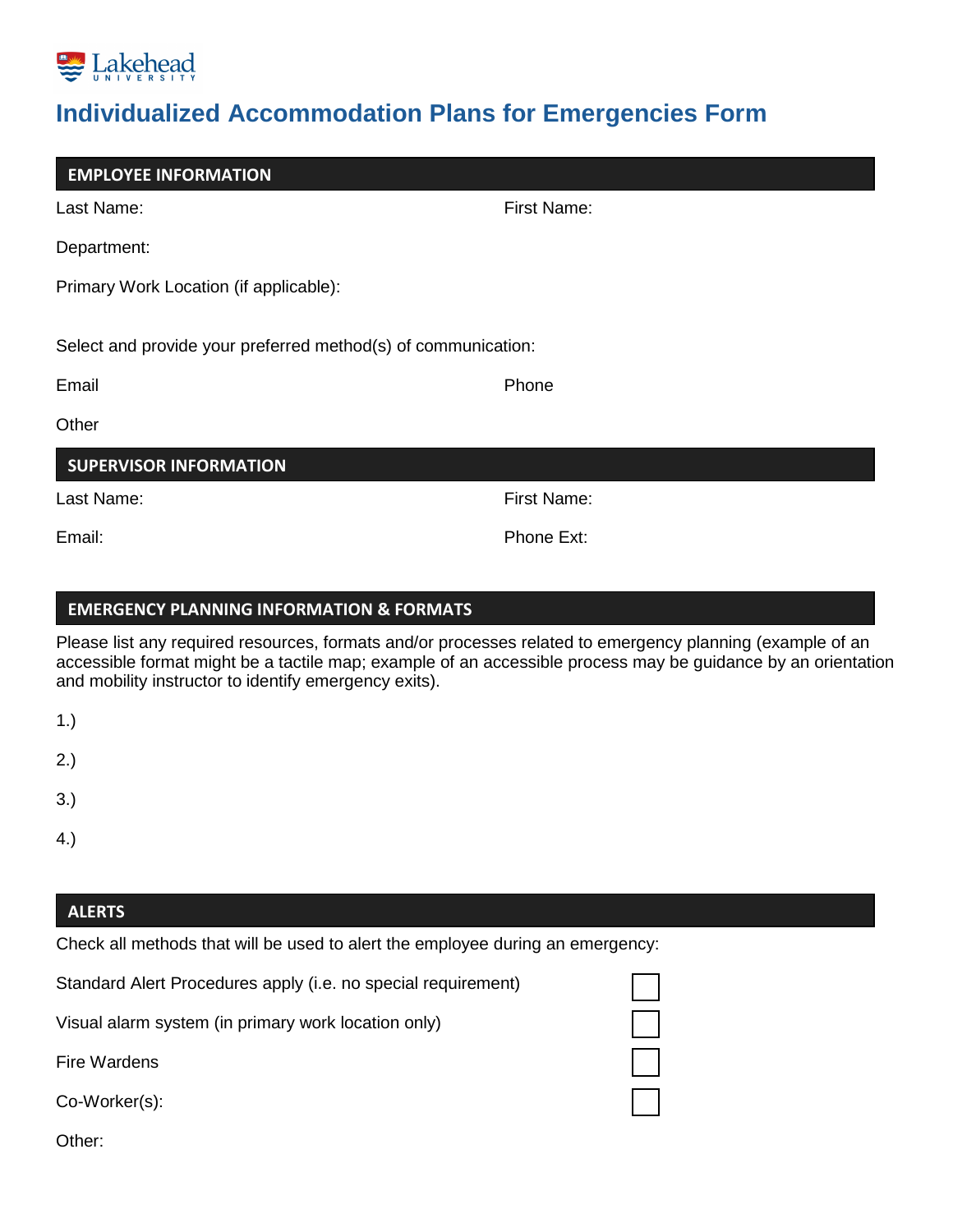

# **Individualized Accommodation Plans for Emergencies Form**

Last Name: The Contract of the Contract of the First Name: Department: Primary Work Location (if applicable): Select and provide your preferred method(s) of communication: Email **Email Example 20** For the state of the state of the state of the state  $\mathbb{P}$ **Other** Last Name: Einst Name: Email: **Email:** Phone Ext: **EMPLOYEE INFORMATION SUPERVISOR INFORMATION**

## **EMERGENCY PLANNING INFORMATION & FORMATS**

Please list any required resources, formats and/or processes related to emergency planning (example of an accessible format might be a tactile map; example of an accessible process may be guidance by an orientation and mobility instructor to identify emergency exits).

2.)

- 3.)
- 4.)

## **ALERTS**

Check all methods that will be used to alert the employee during an emergency:

Standard Alert Procedures apply (i.e. no special requirement)

Visual alarm system (in primary work location only)

Fire Wardens

Co-Worker(s):

Other: